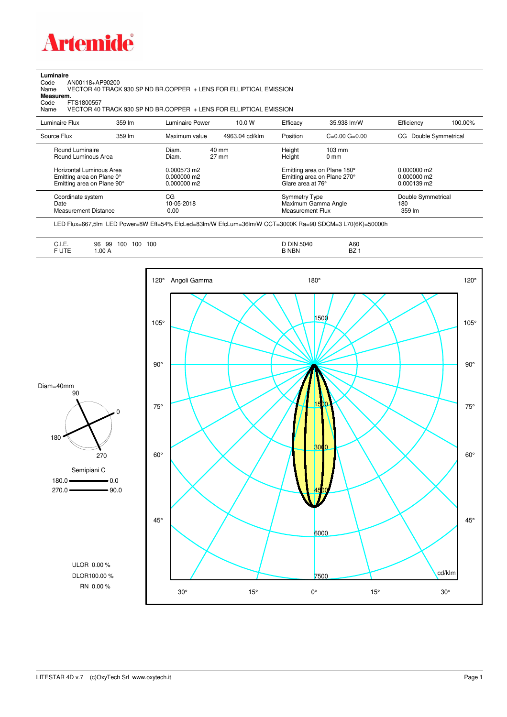

**Luminaire**<br>Code<br>Name Code AN00118+AP90200 Name VECTOR 40 TRACK 930 SP ND BR.COPPER + LENS FOR ELLIPTICAL EMISSION

**Measurem.**

Code FTS1800557<br>Name VECTOR 40 VECTOR 40 TRACK 930 SP ND BR.COPPER + LENS FOR ELLIPTICAL EMISSION

| Luminaire Flux                                                     | 359 lm | Luminaire Power                | 10.0 W                             | Efficacy                                 | 35.938 lm/W                                                       | Efficiency                          | 100.00% |
|--------------------------------------------------------------------|--------|--------------------------------|------------------------------------|------------------------------------------|-------------------------------------------------------------------|-------------------------------------|---------|
| Source Flux                                                        | 359 lm | Maximum value                  | 4963.04 cd/klm                     | Position                                 | $C=0.00$ $G=0.00$                                                 | Double Symmetrical<br>CG.           |         |
| Round Luminaire<br>Round Luminous Area<br>Horizontal Luminous Area |        | Diam.<br>Diam.<br>0.000573 m2  | $40 \text{ mm}$<br>$27 \text{ mm}$ | Height<br>Height                         | $103 \text{ mm}$<br>$0 \text{ mm}$<br>Emitting area on Plane 180° | $0.000000$ m2                       |         |
| Emitting area on Plane 0°<br>Emitting area on Plane 90°            |        | $0.000000$ m2<br>$0.000000$ m2 |                                    | Glare area at 76°                        | Emitting area on Plane 270°                                       | 0.000000 m2<br>$0.000139$ m2        |         |
| Coordinate system<br>Date<br>Measurement Distance                  |        | CG<br>10-05-2018<br>0.00       |                                    | Symmetry Type<br><b>Measurement Flux</b> | Maximum Gamma Angle                                               | Double Symmetrical<br>180<br>359 lm |         |

LED Flux=667,5lm LED Power=8W Eff=54% EfcLed=83lm/W EfcLum=36lm/W CCT=3000K Ra=90 SDCM=3 L70(6K)=50000h

| A60<br><b>DIN 5040</b><br><b>BZ</b><br><b>B NBN</b> |
|-----------------------------------------------------|
|-----------------------------------------------------|